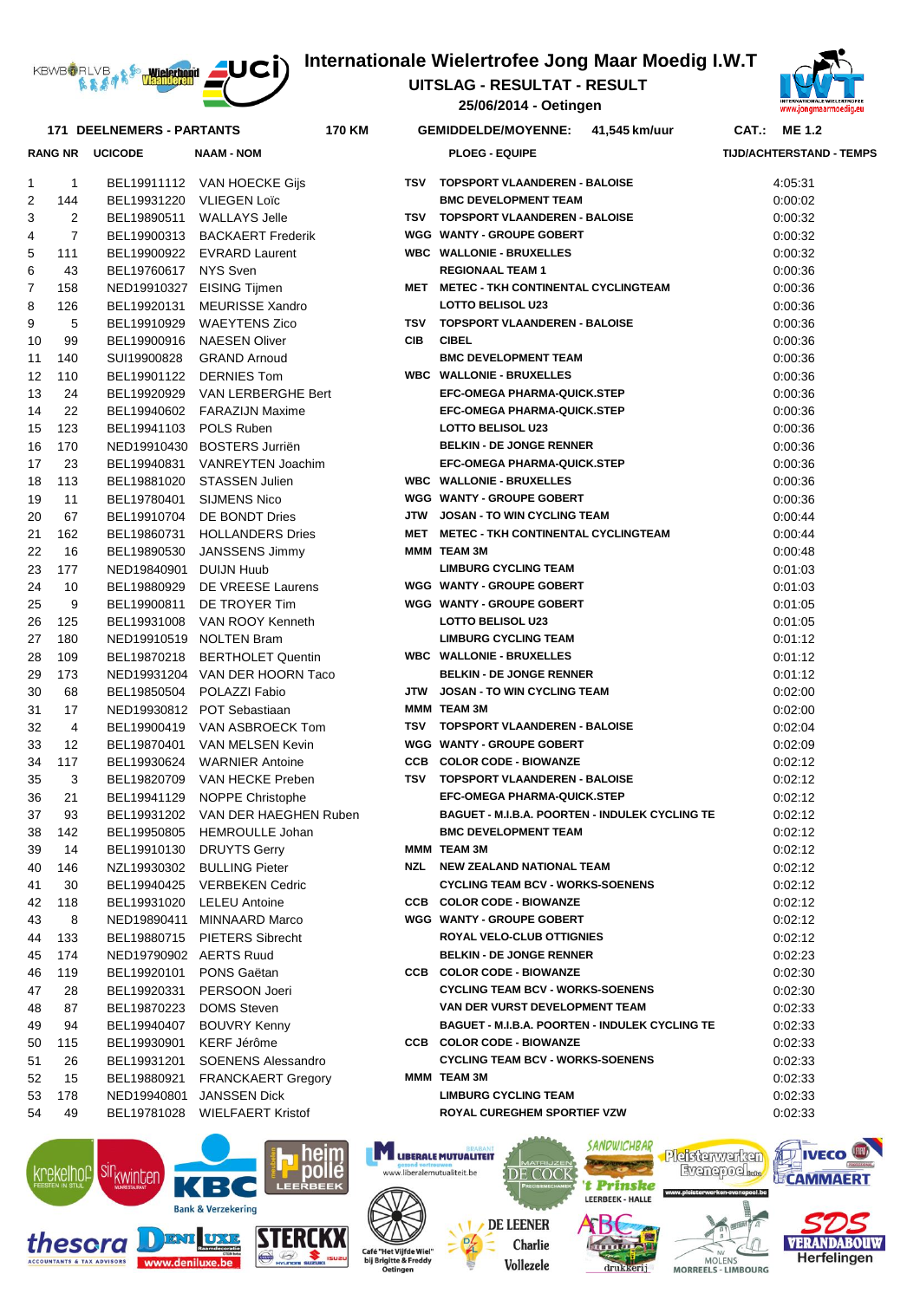

## **Internationale Wielertrofee Jong Maar Moedig I.W.T**

**25/06/2014 - Oetingen UITSLAG - RESULTAT - RESULT** 



|                |                | <b>171 DEELNEMERS - PARTANTS</b> | 170 KM                              |            | <b>GEMIDDELDE/MOYENNE:</b>                             | 41,545 km/uur | CAT.: ME 1.2                    |
|----------------|----------------|----------------------------------|-------------------------------------|------------|--------------------------------------------------------|---------------|---------------------------------|
|                |                | <b>RANG NR UCICODE</b>           | <b>NAAM - NOM</b>                   |            | <b>PLOEG - EQUIPE</b>                                  |               | <b>TIJD/ACHTERSTAND - TEMPS</b> |
| 1              | 1              |                                  | BEL19911112 VAN HOECKE Gijs         |            | TSV TOPSPORT VLAANDEREN - BALOISE                      |               | 4:05:31                         |
| 2              | 144            |                                  | BEL19931220 VLIEGEN Loïc            |            | <b>BMC DEVELOPMENT TEAM</b>                            |               | 0:00:02                         |
| 3              | 2              |                                  | BEL19890511 WALLAYS Jelle           |            | TSV TOPSPORT VLAANDEREN - BALOISE                      |               | 0:00:32                         |
| 4              | $\overline{7}$ |                                  | BEL19900313 BACKAERT Frederik       |            | <b>WGG WANTY - GROUPE GOBERT</b>                       |               | 0:00:32                         |
| 5              | 111            |                                  | BEL19900922 EVRARD Laurent          |            | <b>WBC WALLONIE - BRUXELLES</b>                        |               | 0:00:32                         |
| 6              | 43             | BEL19760617 NYS Sven             |                                     |            | <b>REGIONAAL TEAM 1</b>                                |               | 0:00:36                         |
| $\overline{7}$ | 158            |                                  | NED19910327 EISING Tijmen           |            | MET METEC - TKH CONTINENTAL CYCLINGTEAM                |               | 0:00:36                         |
| 8              | 126            |                                  | BEL19920131 MEURISSE Xandro         |            | <b>LOTTO BELISOL U23</b>                               |               | 0:00:36                         |
| 9              | 5              |                                  | BEL19910929 WAEYTENS Zico           |            | TSV TOPSPORT VLAANDEREN - BALOISE                      |               | 0:00:36                         |
| 10             | 99             |                                  | BEL19900916 NAESEN Oliver           | <b>CIB</b> | <b>CIBEL</b>                                           |               | 0:00:36                         |
| 11             | 140            |                                  | SUI19900828 GRAND Arnoud            |            | <b>BMC DEVELOPMENT TEAM</b>                            |               | 0:00:36                         |
| 12             | 110            |                                  | BEL19901122 DERNIES Tom             |            | <b>WBC WALLONIE - BRUXELLES</b>                        |               | 0:00:36                         |
| 13             | 24             |                                  | BEL19920929 VAN LERBERGHE Bert      |            | <b>EFC-OMEGA PHARMA-QUICK.STEP</b>                     |               | 0:00:36                         |
| 14             | 22             |                                  | BEL19940602 FARAZIJN Maxime         |            | <b>EFC-OMEGA PHARMA-QUICK.STEP</b>                     |               | 0:00:36                         |
| 15             | 123            | BEL19941103 POLS Ruben           |                                     |            | <b>LOTTO BELISOL U23</b>                               |               | 0:00:36                         |
| 16             | 170            |                                  | NED19910430 BOSTERS Jurriën         |            | <b>BELKIN - DE JONGE RENNER</b>                        |               | 0:00:36                         |
| 17             | 23             |                                  | BEL19940831 VANREYTEN Joachim       |            | <b>EFC-OMEGA PHARMA-QUICK.STEP</b>                     |               | 0:00:36                         |
| 18             | 113            |                                  | BEL19881020 STASSEN Julien          |            | <b>WBC WALLONIE - BRUXELLES</b>                        |               | 0:00:36                         |
| 19             | 11             |                                  | BEL19780401 SIJMENS Nico            |            | <b>WGG WANTY - GROUPE GOBERT</b>                       |               | 0:00:36                         |
| 20             | 67             |                                  | BEL19910704 DE BONDT Dries          |            | JTW JOSAN - TO WIN CYCLING TEAM                        |               | 0:00:44                         |
| 21             | 162            |                                  | BEL19860731 HOLLANDERS Dries        |            | MET METEC - TKH CONTINENTAL CYCLINGTEAM                |               | 0:00:44                         |
| 22             | 16             |                                  | BEL19890530 JANSSENS Jimmy          |            | MMM TEAM 3M                                            |               | 0:00:48                         |
| 23             | 177            | NED19840901 DUIJN Huub           |                                     |            | <b>LIMBURG CYCLING TEAM</b>                            |               | 0:01:03                         |
| 24             | 10             |                                  | BEL19880929 DE VREESE Laurens       |            | <b>WGG WANTY - GROUPE GOBERT</b>                       |               | 0:01:03                         |
| 25             | 9              |                                  | BEL19900811 DE TROYER Tim           |            | <b>WGG WANTY - GROUPE GOBERT</b>                       |               | 0:01:05                         |
| 26             | 125            |                                  | BEL19931008 VAN ROOY Kenneth        |            | <b>LOTTO BELISOL U23</b>                               |               | 0:01:05                         |
| 27             | 180            |                                  | NED19910519 NOLTEN Bram             |            | <b>LIMBURG CYCLING TEAM</b>                            |               | 0:01:12                         |
| 28             | 109            |                                  | BEL19870218 BERTHOLET Quentin       |            | <b>WBC WALLONIE - BRUXELLES</b>                        |               | 0:01:12                         |
| 29             | 173            |                                  | NED19931204 VAN DER HOORN Taco      |            | <b>BELKIN - DE JONGE RENNER</b>                        |               | 0:01:12                         |
| 30             | 68             |                                  | BEL19850504 POLAZZI Fabio           |            | JTW JOSAN - TO WIN CYCLING TEAM                        |               | 0:02:00                         |
| 31             | 17             |                                  | NED19930812 POT Sebastiaan          |            | MMM TEAM 3M                                            |               | 0:02:00                         |
| 32             | $\overline{4}$ |                                  | BEL19900419 VAN ASBROECK Tom        |            | TSV TOPSPORT VLAANDEREN - BALOISE                      |               | 0:02:04                         |
| 33             | 12             |                                  | BEL19870401 VAN MELSEN Kevin        |            | <b>WGG WANTY - GROUPE GOBERT</b>                       |               | 0:02:09                         |
| 34             | 117            |                                  | BEL19930624 WARNIER Antoine         |            | <b>CCB COLOR CODE - BIOWANZE</b>                       |               | 0:02:12                         |
| 35             | 3              |                                  | BEL19820709 VAN HECKE Preben        |            | TSV TOPSPORT VLAANDEREN - BALOISE                      |               | 0:02:12                         |
| 36             | 21             |                                  | BEL19941129 NOPPE Christophe        |            | <b>EFC-OMEGA PHARMA-QUICK.STEP</b>                     |               | 0:02:12                         |
| 37             | 93             |                                  | BEL19931202 VAN DER HAEGHEN Ruben   |            | <b>BAGUET - M.I.B.A. POORTEN - INDULEK CYCLING TE</b>  |               | 0.02:12                         |
| 38             | 142            |                                  | BEL19950805 HEMROULLE Johan         |            | <b>BMC DEVELOPMENT TEAM</b>                            |               | 0:02:12                         |
| 39             | 14             |                                  | BEL19910130 DRUYTS Gerry            |            | MMM TEAM 3M                                            |               | 0.02.12                         |
| 40             | 146            |                                  | NZL19930302 BULLING Pieter          |            | NZL NEW ZEALAND NATIONAL TEAM                          |               | 0:02:12                         |
| 41             | 30             |                                  | BEL19940425 VERBEKEN Cedric         |            | <b>CYCLING TEAM BCV - WORKS-SOENENS</b>                |               | 0:02:12                         |
| 42             | 118            |                                  | BEL19931020 LELEU Antoine           |            | <b>CCB COLOR CODE - BIOWANZE</b>                       |               | 0:02:12                         |
| 43             | 8              |                                  | NED19890411 MINNAARD Marco          |            | WGG WANTY - GROUPE GOBERT<br>ROYAL VELO-CLUB OTTIGNIES |               | 0:02:12                         |
| 44             | 133            |                                  | BEL19880715 PIETERS Sibrecht        |            | <b>BELKIN - DE JONGE RENNER</b>                        |               | 0:02:12                         |
| 45             | 174            | NED19790902 AERTS Ruud           |                                     |            | <b>CCB COLOR CODE - BIOWANZE</b>                       |               | 0:02:23                         |
| 46<br>47       | 119<br>28      | BEL19920101<br>BEL19920331       | <b>PONS Gaëtan</b><br>PERSOON Joeri |            | <b>CYCLING TEAM BCV - WORKS-SOENENS</b>                |               | 0:02:30<br>0:02:30              |
|                |                |                                  |                                     |            | VAN DER VURST DEVELOPMENT TEAM                         |               |                                 |
| 48             | 87             | BEL19870223                      | <b>DOMS Steven</b>                  |            | <b>BAGUET - M.I.B.A. POORTEN - INDULEK CYCLING TE</b>  |               | 0:02:33                         |
| 49             | 94             | BEL19940407                      | <b>BOUVRY Kenny</b>                 |            | <b>CCB COLOR CODE - BIOWANZE</b>                       |               | 0:02:33                         |
| 50             | 115<br>26      | BEL19930901                      | KERF Jérôme                         |            | <b>CYCLING TEAM BCV - WORKS-SOENENS</b>                |               | 0:02:33                         |
| 51             |                |                                  | BEL19931201 SOENENS Alessandro      |            | MMM TEAM 3M                                            |               | 0:02:33                         |
| 52             | 15             |                                  | BEL19880921 FRANCKAERT Gregory      |            | <b>LIMBURG CYCLING TEAM</b>                            |               | 0:02:33                         |
| 53             | 178            |                                  | NED19940801 JANSSEN Dick            |            |                                                        |               | 0.02.33                         |
| 54             | 49             |                                  | BEL19781028 WIELFAERT Kristof       |            | ROYAL CUREGHEM SPORTIEF VZW                            |               | 0:02:33                         |



www.denilu



**TY LIBERALE MUTUALITEIT** 

www.liberalemutualiteit.be

**SANDWICHRAR** 



Pleisterwerken Evenepoel



**IVECO** 

**ECAMMAERT**